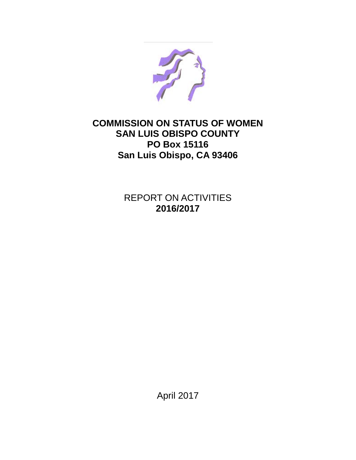

## **COMMISSION ON STATUS OF WOMEN SAN LUIS OBISPO COUNTY PO Box 15116 San Luis Obispo, CA 93406**

REPORT ON ACTIVITIES **2016/2017**

April 2017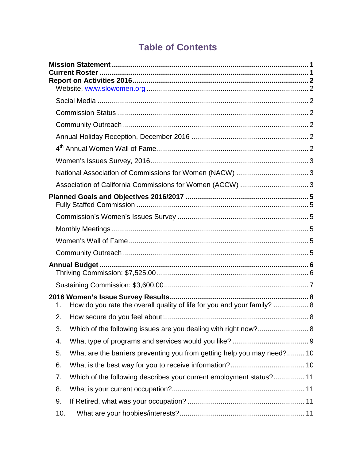# **Table of Contents**

| 1.  | How do you rate the overall quality of life for you and your family?  8 |  |
|-----|-------------------------------------------------------------------------|--|
| 2.  |                                                                         |  |
| 3.  |                                                                         |  |
| 4.  |                                                                         |  |
| 5.  | What are the barriers preventing you from getting help you may need? 10 |  |
| 6.  |                                                                         |  |
| 7.  | Which of the following describes your current employment status? 11     |  |
| 8.  |                                                                         |  |
| 9.  |                                                                         |  |
| 10. |                                                                         |  |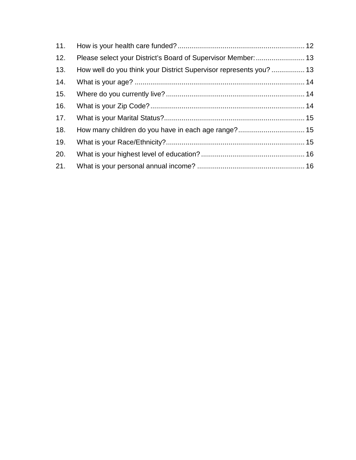| 11. |                                                                    |  |
|-----|--------------------------------------------------------------------|--|
| 12. |                                                                    |  |
| 13. | How well do you think your District Supervisor represents you?  13 |  |
| 14. |                                                                    |  |
| 15. |                                                                    |  |
| 16. |                                                                    |  |
| 17. |                                                                    |  |
| 18. |                                                                    |  |
| 19. |                                                                    |  |
| 20. |                                                                    |  |
| 21. |                                                                    |  |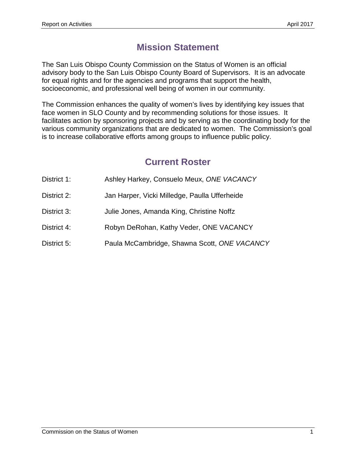# **Mission Statement**

The San Luis Obispo County Commission on the Status of Women is an official advisory body to the San Luis Obispo County Board of Supervisors. It is an advocate for equal rights and for the agencies and programs that support the health, socioeconomic, and professional well being of women in our community.

The Commission enhances the quality of women's lives by identifying key issues that face women in SLO County and by recommending solutions for those issues. It facilitates action by sponsoring projects and by serving as the coordinating body for the various community organizations that are dedicated to women. The Commission's goal is to increase collaborative efforts among groups to influence public policy.

# **Current Roster**

| District 1: |  | Ashley Harkey, Consuelo Meux, ONE VACANCY |
|-------------|--|-------------------------------------------|
|             |  |                                           |

- District 2: Jan Harper, Vicki Milledge, Paulla Ufferheide
- District 3: Julie Jones, Amanda King, Christine Noffz
- District 4: Robyn DeRohan, Kathy Veder, ONE VACANCY
- District 5: Paula McCambridge, Shawna Scott, *ONE VACANCY*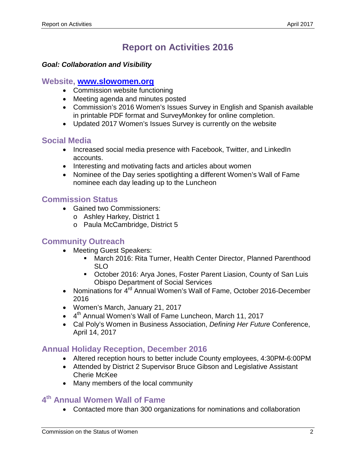# **Report on Activities 2016**

#### *Goal: Collaboration and Visibility*

#### **Website, [www.slowomen.org](http://www.slowomen.org/)**

- Commission website functioning
- Meeting agenda and minutes posted
- Commission's 2016 Women's Issues Survey in English and Spanish available in printable PDF format and SurveyMonkey for online completion.
- Updated 2017 Women's Issues Survey is currently on the website

### **Social Media**

- Increased social media presence with Facebook, Twitter, and LinkedIn accounts.
- Interesting and motivating facts and articles about women
- Nominee of the Day series spotlighting a different Women's Wall of Fame nominee each day leading up to the Luncheon

### **Commission Status**

- Gained two Commissioners:
	- o Ashley Harkey, District 1
	- o Paula McCambridge, District 5

### **Community Outreach**

- Meeting Guest Speakers:
	- March 2016: Rita Turner, Health Center Director, Planned Parenthood SLO
	- October 2016: Arya Jones, Foster Parent Liasion, County of San Luis Obispo Department of Social Services
- Nominations for 4<sup>rd</sup> Annual Women's Wall of Fame, October 2016-December 2016
- Women's March, January 21, 2017
- $\bullet$  4<sup>th</sup> Annual Women's Wall of Fame Luncheon, March 11, 2017
- Cal Poly's Women in Business Association, *Defining Her Future* Conference, April 14, 2017

### **Annual Holiday Reception, December 2016**

- Altered reception hours to better include County employees, 4:30PM-6:00PM
- Attended by District 2 Supervisor Bruce Gibson and Legislative Assistant Cherie McKee
- Many members of the local community

## **4th Annual Women Wall of Fame**

• Contacted more than 300 organizations for nominations and collaboration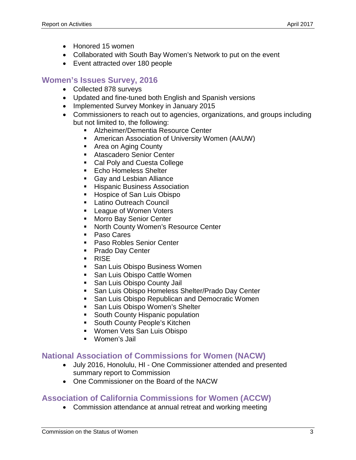- Honored 15 women
- Collaborated with South Bay Women's Network to put on the event
- Event attracted over 180 people

## **Women's Issues Survey, 2016**

- Collected 878 surveys
- Updated and fine-tuned both English and Spanish versions
- Implemented Survey Monkey in January 2015
- Commissioners to reach out to agencies, organizations, and groups including but not limited to, the following:
	- Alzheimer/Dementia Resource Center
	- American Association of University Women (AAUW)
	- **Area on Aging County**
	- **Atascadero Senior Center**
	- Cal Poly and Cuesta College
	- **Echo Homeless Shelter**
	- **Gay and Lesbian Alliance**
	- **Hispanic Business Association**
	- **Hospice of San Luis Obispo**
	- **Latino Outreach Council**
	- **League of Women Voters**
	- **Morro Bay Senior Center**
	- **North County Women's Resource Center**
	- **Paso Cares**
	- **Paso Robles Senior Center**
	- **Prado Day Center**
	- **RISE**
	- **San Luis Obispo Business Women**
	- **San Luis Obispo Cattle Women**
	- **San Luis Obispo County Jail**
	- **San Luis Obispo Homeless Shelter/Prado Day Center**
	- **San Luis Obispo Republican and Democratic Women**
	- **San Luis Obispo Women's Shelter**
	- **South County Hispanic population**
	- **South County People's Kitchen**
	- **Women Vets San Luis Obispo**
	- Women's Jail

### **National Association of Commissions for Women (NACW)**

- July 2016, Honolulu, HI One Commissioner attended and presented summary report to Commission
- One Commissioner on the Board of the NACW

### **Association of California Commissions for Women (ACCW)**

• Commission attendance at annual retreat and working meeting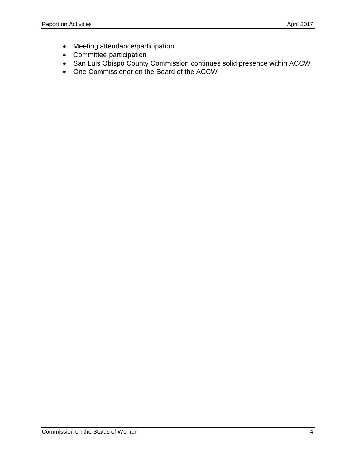- Meeting attendance/participation
- Committee participation
- San Luis Obispo County Commission continues solid presence within ACCW
- One Commissioner on the Board of the ACCW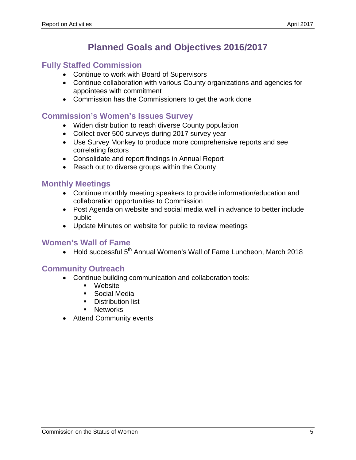# **Planned Goals and Objectives 2016/2017**

### **Fully Staffed Commission**

- Continue to work with Board of Supervisors
- Continue collaboration with various County organizations and agencies for appointees with commitment
- Commission has the Commissioners to get the work done

### **Commission's Women's Issues Survey**

- Widen distribution to reach diverse County population
- Collect over 500 surveys during 2017 survey year
- Use Survey Monkey to produce more comprehensive reports and see correlating factors
- Consolidate and report findings in Annual Report
- Reach out to diverse groups within the County

### **Monthly Meetings**

- Continue monthly meeting speakers to provide information/education and collaboration opportunities to Commission
- Post Agenda on website and social media well in advance to better include public
- Update Minutes on website for public to review meetings

### **Women's Wall of Fame**

• Hold successful 5<sup>th</sup> Annual Women's Wall of Fame Luncheon, March 2018

### **Community Outreach**

- Continue building communication and collaboration tools:
	- Website
	- **Social Media**
	- **Distribution list**
	- **Networks**
- Attend Community events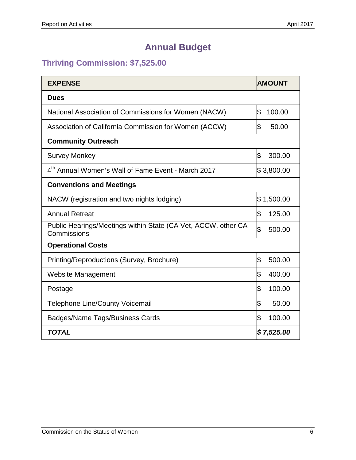# **Annual Budget**

## **Thriving Commission: \$7,525.00**

| <b>EXPENSE</b>                                                               | <b>AMOUNT</b> |  |  |
|------------------------------------------------------------------------------|---------------|--|--|
| <b>Dues</b>                                                                  |               |  |  |
| National Association of Commissions for Women (NACW)                         | \$<br>100.00  |  |  |
| Association of California Commission for Women (ACCW)                        | \$<br>50.00   |  |  |
| <b>Community Outreach</b>                                                    |               |  |  |
| <b>Survey Monkey</b>                                                         | \$<br>300.00  |  |  |
| 4 <sup>th</sup> Annual Women's Wall of Fame Event - March 2017               | \$3,800.00    |  |  |
| <b>Conventions and Meetings</b>                                              |               |  |  |
| NACW (registration and two nights lodging)                                   | \$1,500.00    |  |  |
| <b>Annual Retreat</b>                                                        | \$<br>125.00  |  |  |
| Public Hearings/Meetings within State (CA Vet, ACCW, other CA<br>Commissions | \$<br>500.00  |  |  |
| <b>Operational Costs</b>                                                     |               |  |  |
| Printing/Reproductions (Survey, Brochure)                                    | \$<br>500.00  |  |  |
| <b>Website Management</b>                                                    | \$<br>400.00  |  |  |
| Postage                                                                      | \$<br>100.00  |  |  |
| <b>Telephone Line/County Voicemail</b>                                       | \$<br>50.00   |  |  |
| <b>Badges/Name Tags/Business Cards</b>                                       | \$<br>100.00  |  |  |
| <b>TOTAL</b>                                                                 | \$7,525.00    |  |  |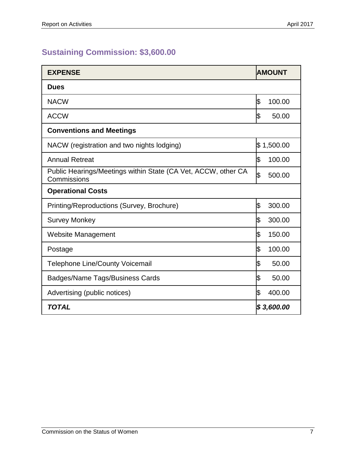## **Sustaining Commission: \$3,600.00**

| <b>EXPENSE</b>                                                               | <b>AMOUNT</b> |
|------------------------------------------------------------------------------|---------------|
| <b>Dues</b>                                                                  |               |
| <b>NACW</b>                                                                  | S.<br>100.00  |
| <b>ACCW</b>                                                                  | ß<br>50.00    |
| <b>Conventions and Meetings</b>                                              |               |
| NACW (registration and two nights lodging)                                   | \$1,500.00    |
| <b>Annual Retreat</b>                                                        | ß<br>100.00   |
| Public Hearings/Meetings within State (CA Vet, ACCW, other CA<br>Commissions | \$<br>500.00  |
| <b>Operational Costs</b>                                                     |               |
| Printing/Reproductions (Survey, Brochure)                                    | \$<br>300.00  |
| <b>Survey Monkey</b>                                                         | \$<br>300.00  |
| <b>Website Management</b>                                                    | \$<br>150.00  |
| Postage                                                                      | \$<br>100.00  |
| <b>Telephone Line/County Voicemail</b>                                       | ß<br>50.00    |
| Badges/Name Tags/Business Cards                                              | \$<br>50.00   |
| Advertising (public notices)                                                 | ß<br>400.00   |
| <b>TOTAL</b>                                                                 | \$3,600.00    |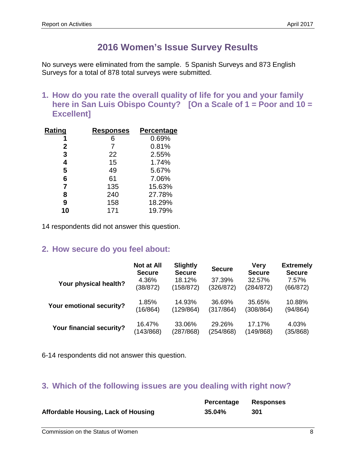## **2016 Women's Issue Survey Results**

No surveys were eliminated from the sample. 5 Spanish Surveys and 873 English Surveys for a total of 878 total surveys were submitted.

**1. How do you rate the overall quality of life for you and your family here in San Luis Obispo County? [On a Scale of 1 = Poor and 10 = Excellent]**

| Rating       | Responses | Percentage |
|--------------|-----------|------------|
|              | 6         | 0.69%      |
| $\mathbf{2}$ | 7         | 0.81%      |
| 3            | 22        | 2.55%      |
| 4            | 15        | 1.74%      |
| 5            | 49        | 5.67%      |
| 6            | 61        | 7.06%      |
| 7            | 135       | 15.63%     |
| 8            | 240       | 27.78%     |
| 9            | 158       | 18.29%     |
| 10           | 171       | 19.79%     |

14 respondents did not answer this question.

### **2. How secure do you feel about:**

|                          | Not at All<br><b>Secure</b> | <b>Slightly</b><br><b>Secure</b> | <b>Secure</b> | <b>Very</b><br><b>Secure</b> | <b>Extremely</b><br><b>Secure</b> |
|--------------------------|-----------------------------|----------------------------------|---------------|------------------------------|-----------------------------------|
| Your physical health?    | 4.36%                       | 18.12%                           | 37.39%        | 32.57%                       | 7.57%                             |
|                          | (38/872)                    | (158/872)                        | (326/872)     | (284/872)                    | (66/872)                          |
| Your emotional security? | 1.85%                       | 14.93%                           | 36.69%        | 35.65%                       | 10.88%                            |
|                          | (16/864)                    | (129/864)                        | (317/864)     | (308/864)                    | (94/864)                          |
| Your financial security? | 16.47%                      | 33.06%                           | 29.26%        | 17.17%                       | 4.03%                             |
|                          | (143/868)                   | (287/868)                        | (254/868)     | (149/868)                    | (35/868)                          |

6-14 respondents did not answer this question.

## **3. Which of the following issues are you dealing with right now?**

|                                     | Percentage | <b>Responses</b> |
|-------------------------------------|------------|------------------|
| Affordable Housing, Lack of Housing | 35.04%     | 301              |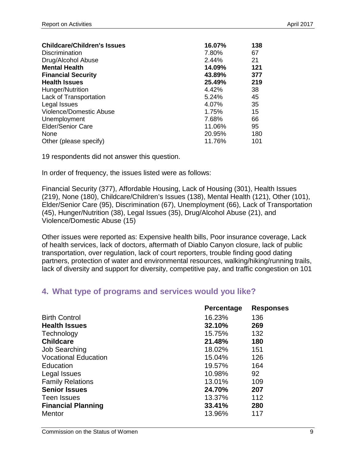| <b>Childcare/Children's Issues</b> | 16.07% | 138 |
|------------------------------------|--------|-----|
| Discrimination                     | 7.80%  | 67  |
| Drug/Alcohol Abuse                 | 2.44%  | 21  |
| <b>Mental Health</b>               | 14.09% | 121 |
| <b>Financial Security</b>          | 43.89% | 377 |
| <b>Health Issues</b>               | 25.49% | 219 |
| Hunger/Nutrition                   | 4.42%  | 38  |
| Lack of Transportation             | 5.24%  | 45  |
| Legal Issues                       | 4.07%  | 35  |
| Violence/Domestic Abuse            | 1.75%  | 15  |
| Unemployment                       | 7.68%  | 66  |
| <b>Elder/Senior Care</b>           | 11.06% | 95  |
| None                               | 20.95% | 180 |
| Other (please specify)             | 11.76% | 101 |

In order of frequency, the issues listed were as follows:

Financial Security (377), Affordable Housing, Lack of Housing (301), Health Issues (219), None (180), Childcare/Children's Issues (138), Mental Health (121), Other (101), Elder/Senior Care (95), Discrimination (67), Unemployment (66), Lack of Transportation (45), Hunger/Nutrition (38), Legal Issues (35), Drug/Alcohol Abuse (21), and Violence/Domestic Abuse (15)

Other issues were reported as: Expensive health bills, Poor insurance coverage, Lack of health services, lack of doctors, aftermath of Diablo Canyon closure, lack of public transportation, over regulation, lack of court reporters, trouble finding good dating partners, protection of water and environmental resources, walking/hiking/running trails, lack of diversity and support for diversity, competitive pay, and traffic congestion on 101

### **4. What type of programs and services would you like?**

|                             | Percentage | <b>Responses</b> |
|-----------------------------|------------|------------------|
| <b>Birth Control</b>        | 16.23%     | 136              |
| <b>Health Issues</b>        | 32.10%     | 269              |
| Technology                  | 15.75%     | 132              |
| <b>Childcare</b>            | 21.48%     | 180              |
| <b>Job Searching</b>        | 18.02%     | 151              |
| <b>Vocational Education</b> | 15.04%     | 126              |
| Education                   | 19.57%     | 164              |
| Legal Issues                | 10.98%     | 92               |
| <b>Family Relations</b>     | 13.01%     | 109              |
| <b>Senior Issues</b>        | 24.70%     | 207              |
| Teen Issues                 | 13.37%     | 112              |
| <b>Financial Planning</b>   | 33.41%     | 280              |
| Mentor                      | 13.96%     | 117              |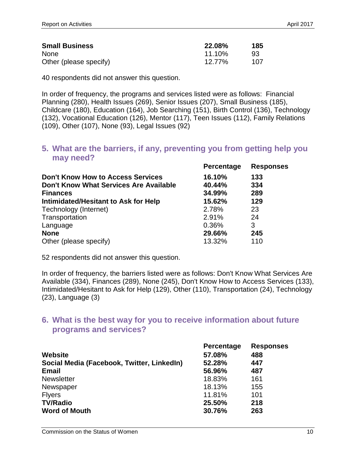| <b>Small Business</b>  | <b>22.08%</b> | 185 |
|------------------------|---------------|-----|
| <b>None</b>            | $11.10\%$     | 93  |
| Other (please specify) | 12.77%        | 107 |

In order of frequency, the programs and services listed were as follows: Financial Planning (280), Health Issues (269), Senior Issues (207), Small Business (185), Childcare (180), Education (164), Job Searching (151), Birth Control (136), Technology (132), Vocational Education (126), Mentor (117), Teen Issues (112), Family Relations (109), Other (107), None (93), Legal Issues (92)

#### **5. What are the barriers, if any, preventing you from getting help you may need?**

| Percentage | <b>Responses</b> |
|------------|------------------|
| 16.10%     | 133              |
| 40.44%     | 334              |
| 34.99%     | 289              |
| 15.62%     | 129              |
| 2.78%      | 23               |
| 2.91%      | 24               |
| 0.36%      | 3                |
| 29.66%     | 245              |
| 13.32%     | 110              |
|            |                  |

52 respondents did not answer this question.

In order of frequency, the barriers listed were as follows: Don't Know What Services Are Available (334), Finances (289), None (245), Don't Know How to Access Services (133), Intimidated/Hesitant to Ask for Help (129), Other (110), Transportation (24), Technology (23), Language (3)

### **6. What is the best way for you to receive information about future programs and services?**

| Percentage | <b>Responses</b> |
|------------|------------------|
| 57.08%     | 488              |
| 52.28%     | 447              |
| 56.96%     | 487              |
| 18.83%     | 161              |
| 18.13%     | 155              |
| 11.81%     | 101              |
| 25.50%     | 218              |
| 30.76%     | 263              |
|            |                  |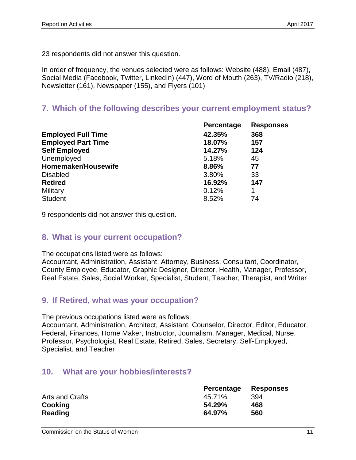In order of frequency, the venues selected were as follows: Website (488), Email (487), Social Media (Facebook, Twitter, LinkedIn) (447), Word of Mouth (263), TV/Radio (218), Newsletter (161), Newspaper (155), and Flyers (101)

## **7. Which of the following describes your current employment status?**

| <b>Percentage</b> | <b>Responses</b> |
|-------------------|------------------|
| 42.35%            | 368              |
| 18.07%            | 157              |
| 14.27%            | 124              |
| 5.18%             | 45               |
| 8.86%             | 77               |
| 3.80%             | 33               |
| 16.92%            | 147              |
| 0.12%             | 1                |
| 8.52%             | 74               |
|                   |                  |

9 respondents did not answer this question.

### **8. What is your current occupation?**

The occupations listed were as follows:

Accountant, Administration, Assistant, Attorney, Business, Consultant, Coordinator, County Employee, Educator, Graphic Designer, Director, Health, Manager, Professor, Real Estate, Sales, Social Worker, Specialist, Student, Teacher, Therapist, and Writer

### **9. If Retired, what was your occupation?**

The previous occupations listed were as follows:

Accountant, Administration, Architect, Assistant, Counselor, Director, Editor, Educator, Federal, Finances, Home Maker, Instructor, Journalism, Manager, Medical, Nurse, Professor, Psychologist, Real Estate, Retired, Sales, Secretary, Self-Employed, Specialist, and Teacher

### **10. What are your hobbies/interests?**

|                 | Percentage | <b>Responses</b> |
|-----------------|------------|------------------|
| Arts and Crafts | 45.71%     | 394              |
| Cooking         | 54.29%     | 468              |
| Reading         | 64.97%     | 560              |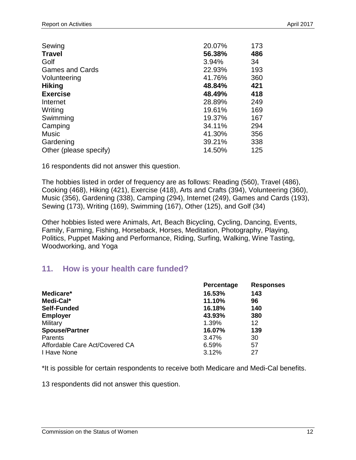| Sewing                 | 20.07% | 173 |
|------------------------|--------|-----|
| <b>Travel</b>          | 56.38% | 486 |
| Golf                   | 3.94%  | 34  |
| <b>Games and Cards</b> | 22.93% | 193 |
| Volunteering           | 41.76% | 360 |
| <b>Hiking</b>          | 48.84% | 421 |
| <b>Exercise</b>        | 48.49% | 418 |
| Internet               | 28.89% | 249 |
| Writing                | 19.61% | 169 |
| Swimming               | 19.37% | 167 |
| Camping                | 34.11% | 294 |
| <b>Music</b>           | 41.30% | 356 |
| Gardening              | 39.21% | 338 |
| Other (please specify) | 14.50% | 125 |

The hobbies listed in order of frequency are as follows: Reading (560), Travel (486), Cooking (468), Hiking (421), Exercise (418), Arts and Crafts (394), Volunteering (360), Music (356), Gardening (338), Camping (294), Internet (249), Games and Cards (193), Sewing (173), Writing (169), Swimming (167), Other (125), and Golf (34)

Other hobbies listed were Animals, Art, Beach Bicycling, Cycling, Dancing, Events, Family, Farming, Fishing, Horseback, Horses, Meditation, Photography, Playing, Politics, Puppet Making and Performance, Riding, Surfing, Walking, Wine Tasting, Woodworking, and Yoga

### **11. How is your health care funded?**

| Percentage | <b>Responses</b> |
|------------|------------------|
| 16.53%     | 143              |
| 11.10%     | 96               |
| 16.18%     | 140              |
| 43.93%     | 380              |
| 1.39%      | 12               |
| 16.07%     | 139              |
| 3.47%      | 30               |
| 6.59%      | 57               |
| 3.12%      | 27               |
|            |                  |

\*It is possible for certain respondents to receive both Medicare and Medi-Cal benefits.

13 respondents did not answer this question.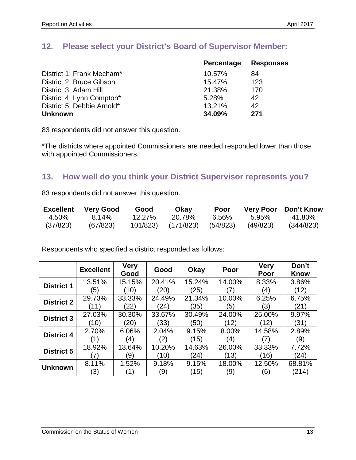### **12. Please select your District's Board of Supervisor Member:**

|                            | <b>Percentage</b> | <b>Responses</b> |
|----------------------------|-------------------|------------------|
| District 1: Frank Mecham*  | 10.57%            | 84               |
| District 2: Bruce Gibson   | 15.47%            | 123              |
| District 3: Adam Hill      | 21.38%            | 170              |
| District 4: Lynn Compton*  | 5.28%             | 42               |
| District 5: Debbie Arnold* | 13.21%            | 42               |
| <b>Unknown</b>             | 34.09%            | 271              |
|                            |                   |                  |

83 respondents did not answer this question.

\*The districts where appointed Commissioners are needed responded lower than those with appointed Commissioners.

### **13. How well do you think your District Supervisor represents you?**

83 respondents did not answer this question.

| <b>Excellent</b> | <b>Very Good</b> | Good      | Okay               | Poor  |          | <b>Very Poor</b> Don't Know |
|------------------|------------------|-----------|--------------------|-------|----------|-----------------------------|
| 4.50%            | $8.14\%$         | $12.27\%$ | 20.78%             | 6.56% | 5.95%    | 41.80%                      |
| (37/823)         | (67/823)         | 101/823)  | (171/823) (54/823) |       | (49/823) | (344/823)                   |

Respondents who specified a district responded as follows:

|                   | <b>Excellent</b> | <b>Very</b><br>Good | Good   | Okay   | Poor            | <b>Very</b><br>Poor | Don't<br><b>Know</b> |
|-------------------|------------------|---------------------|--------|--------|-----------------|---------------------|----------------------|
| <b>District 1</b> | 13.51%           | 15.15%              | 20.41% | 15.24% | 14.00%          | 8.33%               | 3.86%                |
|                   | '5)              | (10)                | (20)   | (25)   |                 | (4)                 | (12)                 |
| <b>District 2</b> | 29.73%           | 33.33%              | 24.49% | 21.34% | 10.00%          | 6.25%               | 6.75%                |
|                   | (11)             | (22)                | (24)   | (35)   | (5)             | (3)                 | (21)                 |
| <b>District 3</b> | 27.03%           | 30.30%              | 33.67% | 30.49% | 24.00%          | 25.00%              | 9.97%                |
|                   | (10)             | (20)                | (33)   | (50)   | $^{\prime}$ 12) | (12)                | (31)                 |
| <b>District 4</b> | 2.70%            | 6.06%               | 2.04%  | 9.15%  | 8.00%           | 14.58%              | 2.89%                |
|                   |                  | $\left( 4\right)$   | (2)    | (15)   | (4)             |                     | (9)                  |
| <b>District 5</b> | 18.92%           | 13.64%              | 10.20% | 14.63% | 26.00%          | 33.33%              | 7.72%                |
|                   |                  | (9)                 | (10)   | (24)   | (13)            | (16)                | (24)                 |
|                   | 8.11%            | 1.52%               | 9.18%  | 9.15%  | 18.00%          | 12.50%              | 68.81%               |
| <b>Unknown</b>    | (3)              |                     | (9     | (15)   | (9)             | (6)                 | (214)                |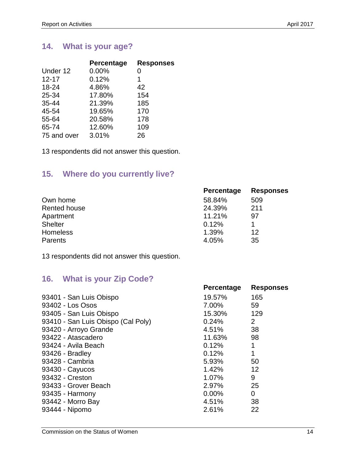## **14. What is your age?**

| Percentage | <b>Responses</b> |
|------------|------------------|
| 0.00%      | 0                |
| 0.12%      | 1                |
| 4.86%      | 42               |
| 17.80%     | 154              |
| 21.39%     | 185              |
| 19.65%     | 170              |
| 20.58%     | 178              |
| 12.60%     | 109              |
| 3.01%      | 26               |
|            |                  |

13 respondents did not answer this question.

## **15. Where do you currently live?**

|                 | Percentage | <b>Responses</b> |
|-----------------|------------|------------------|
| Own home        | 58.84%     | 509              |
| Rented house    | 24.39%     | 211              |
| Apartment       | 11.21%     | 97               |
| <b>Shelter</b>  | 0.12%      |                  |
| <b>Homeless</b> | 1.39%      | 12               |
| <b>Parents</b>  | 4.05%      | 35               |

13 respondents did not answer this question.

## **16. What is your Zip Code?**

| Percentage | <b>Responses</b> |
|------------|------------------|
| 19.57%     | 165              |
| 7.00%      | 59               |
| 15.30%     | 129              |
| 0.24%      | $\overline{2}$   |
| 4.51%      | 38               |
| 11.63%     | 98               |
| 0.12%      | 1                |
| 0.12%      | 1                |
| 5.93%      | 50               |
| 1.42%      | 12               |
| 1.07%      | 9                |
| 2.97%      | 25               |
| $0.00\%$   | $\overline{0}$   |
| 4.51%      | 38               |
| 2.61%      | 22               |
|            |                  |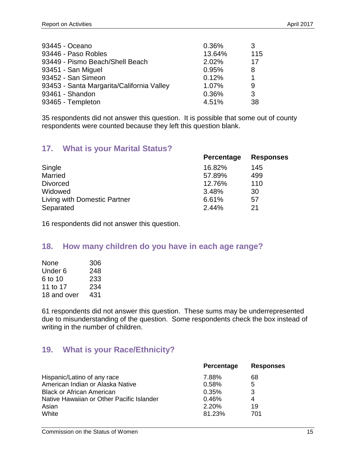| 93445 - Oceano                            | 0.36%  | 3.  |
|-------------------------------------------|--------|-----|
| 93446 - Paso Robles                       | 13.64% | 115 |
| 93449 - Pismo Beach/Shell Beach           | 2.02%  | 17  |
| 93451 - San Miguel                        | 0.95%  | 8   |
| 93452 - San Simeon                        | 0.12%  | 1   |
| 93453 - Santa Margarita/California Valley | 1.07%  | 9   |
| 93461 - Shandon                           | 0.36%  | 3   |
| 93465 - Templeton                         | 4.51%  | 38  |

35 respondents did not answer this question. It is possible that some out of county respondents were counted because they left this question blank.

### **17. What is your Marital Status?**

|                              | <b>Percentage</b> | <b>Responses</b> |
|------------------------------|-------------------|------------------|
| Single                       | 16.82%            | 145              |
| <b>Married</b>               | 57.89%            | 499              |
| <b>Divorced</b>              | 12.76%            | 110              |
| Widowed                      | 3.48%             | 30               |
| Living with Domestic Partner | 6.61%             | 57               |
| Separated                    | 2.44%             | 21               |

16 respondents did not answer this question.

### **18. How many children do you have in each age range?**

| 306 |
|-----|
| 248 |
| 233 |
| 234 |
| 431 |
|     |

61 respondents did not answer this question. These sums may be underrepresented due to misunderstanding of the question. Some respondents check the box instead of writing in the number of children.

### **19. What is your Race/Ethnicity?**

|                                           | <b>Percentage</b> | <b>Responses</b> |
|-------------------------------------------|-------------------|------------------|
| Hispanic/Latino of any race               | 7.88%             | 68               |
| American Indian or Alaska Native          | 0.58%             | 5                |
| <b>Black or African American</b>          | 0.35%             | 3                |
| Native Hawaiian or Other Pacific Islander | 0.46%             | 4                |
| Asian                                     | 2.20%             | 19               |
| White                                     | 81.23%            | 701              |